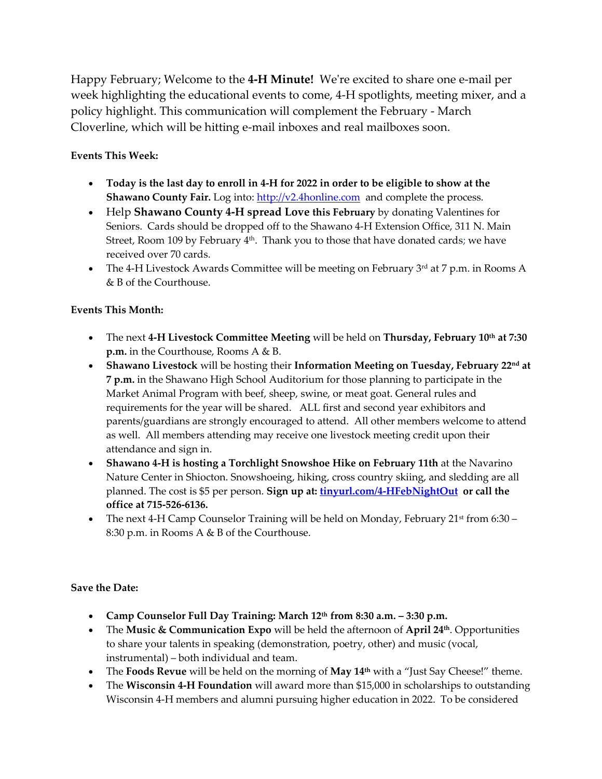Happy February; Welcome to the **4-H Minute!** We're excited to share one e-mail per week highlighting the educational events to come, 4-H spotlights, meeting mixer, and a policy highlight. This communication will complement the February - March Cloverline, which will be hitting e-mail inboxes and real mailboxes soon.

## **Events This Week:**

- Today is the last day to enroll in 4-H for 2022 in order to be eligible to show at the **Shawano County Fair.** Log into: [http://v2.4honline.com](http://v2.4honline.com/) and complete the process.
- Help **Shawano County 4-H spread Love this February** by donating Valentines for Seniors. Cards should be dropped off to the Shawano 4-H Extension Office, 311 N. Main Street, Room 109 by February 4<sup>th</sup>. Thank you to those that have donated cards; we have received over 70 cards.
- The 4-H Livestock Awards Committee will be meeting on February  $3<sup>rd</sup>$  at 7 p.m. in Rooms A & B of the Courthouse.

## **Events This Month:**

- The next **4-H Livestock Committee Meeting** will be held on **Thursday, February 10th at 7:30 p.m.** in the Courthouse, Rooms A & B.
- **Shawano Livestock** will be hosting their **Information Meeting on Tuesday, February 22nd at 7 p.m.** in the Shawano High School Auditorium for those planning to participate in the Market Animal Program with beef, sheep, swine, or meat goat. General rules and requirements for the year will be shared. ALL first and second year exhibitors and parents/guardians are strongly encouraged to attend. All other members welcome to attend as well. All members attending may receive one livestock meeting credit upon their attendance and sign in.
- **Shawano 4-H is hosting a Torchlight Snowshoe Hike on February 11th** at the Navarino Nature Center in Shiocton. Snowshoeing, hiking, cross country skiing, and sledding are all planned. The cost is \$5 per person. **Sign up at: <tinyurl.com/4-HFebNightOut> or call the office at 715-526-6136.**
- The next 4-H Camp Counselor Training will be held on Monday, February  $21^{st}$  from 6:30 8:30 p.m. in Rooms A & B of the Courthouse.

## **Save the Date:**

- **Camp Counselor Full Day Training: March 12th from 8:30 a.m. – 3:30 p.m.**
- The **Music & Communication Expo** will be held the afternoon of **April 24th**. Opportunities to share your talents in speaking (demonstration, poetry, other) and music (vocal, instrumental) – both individual and team.
- The **Foods Revue** will be held on the morning of **May 14th** with a "Just Say Cheese!" theme.
- The **Wisconsin 4-H Foundation** will award more than \$15,000 in scholarships to outstanding Wisconsin 4-H members and alumni pursuing higher education in 2022. To be considered